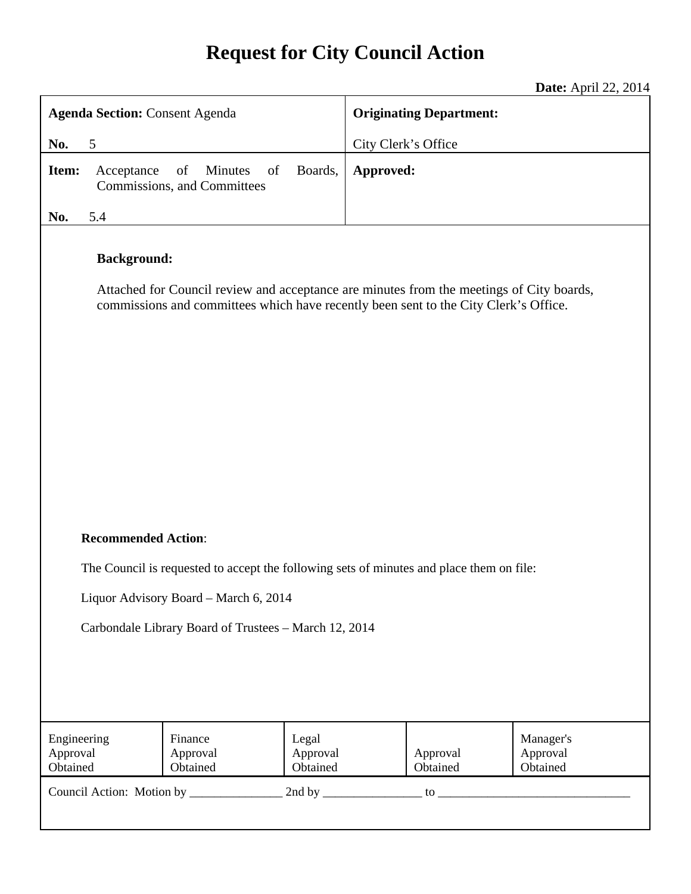# **Request for City Council Action**

**Date:** April 22, 2014

| <b>Agenda Section: Consent Agenda</b>                                                                                                                                                                                    |            |                                                    |                               | <b>Originating Department:</b> |                      |                                   |
|--------------------------------------------------------------------------------------------------------------------------------------------------------------------------------------------------------------------------|------------|----------------------------------------------------|-------------------------------|--------------------------------|----------------------|-----------------------------------|
| No.<br>5                                                                                                                                                                                                                 |            |                                                    | City Clerk's Office           |                                |                      |                                   |
| Item:                                                                                                                                                                                                                    | Acceptance | of<br>Minutes<br>of<br>Commissions, and Committees | Boards,                       | Approved:                      |                      |                                   |
| No.                                                                                                                                                                                                                      | 5.4        |                                                    |                               |                                |                      |                                   |
| <b>Background:</b><br>Attached for Council review and acceptance are minutes from the meetings of City boards,<br>commissions and committees which have recently been sent to the City Clerk's Office.                   |            |                                                    |                               |                                |                      |                                   |
| <b>Recommended Action:</b><br>The Council is requested to accept the following sets of minutes and place them on file:<br>Liquor Advisory Board - March 6, 2014<br>Carbondale Library Board of Trustees - March 12, 2014 |            |                                                    |                               |                                |                      |                                   |
| Engineering<br>Approval<br>Obtained                                                                                                                                                                                      |            | Finance<br>Approval<br>Obtained                    | Legal<br>Approval<br>Obtained |                                | Approval<br>Obtained | Manager's<br>Approval<br>Obtained |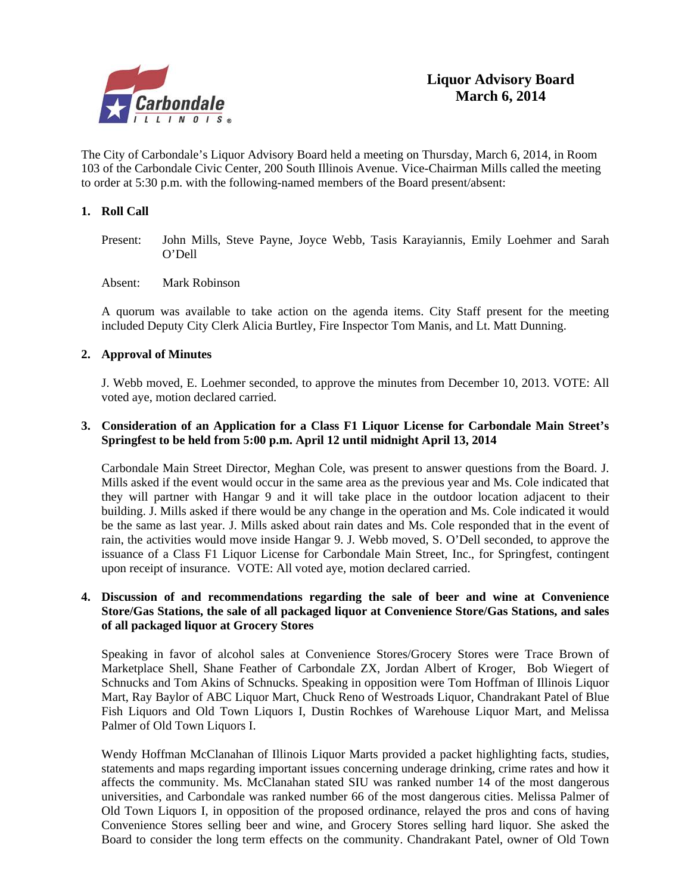

The City of Carbondale's Liquor Advisory Board held a meeting on Thursday, March 6, 2014, in Room 103 of the Carbondale Civic Center, 200 South Illinois Avenue. Vice-Chairman Mills called the meeting to order at 5:30 p.m. with the following-named members of the Board present/absent:

#### **1. Roll Call**

- Present: John Mills, Steve Payne, Joyce Webb, Tasis Karayiannis, Emily Loehmer and Sarah O'Dell
- Absent: Mark Robinson

A quorum was available to take action on the agenda items. City Staff present for the meeting included Deputy City Clerk Alicia Burtley, Fire Inspector Tom Manis, and Lt. Matt Dunning.

#### **2. Approval of Minutes**

J. Webb moved, E. Loehmer seconded, to approve the minutes from December 10, 2013. VOTE: All voted aye, motion declared carried.

#### **3. Consideration of an Application for a Class F1 Liquor License for Carbondale Main Street's Springfest to be held from 5:00 p.m. April 12 until midnight April 13, 2014**

Carbondale Main Street Director, Meghan Cole, was present to answer questions from the Board. J. Mills asked if the event would occur in the same area as the previous year and Ms. Cole indicated that they will partner with Hangar 9 and it will take place in the outdoor location adjacent to their building. J. Mills asked if there would be any change in the operation and Ms. Cole indicated it would be the same as last year. J. Mills asked about rain dates and Ms. Cole responded that in the event of rain, the activities would move inside Hangar 9. J. Webb moved, S. O'Dell seconded, to approve the issuance of a Class F1 Liquor License for Carbondale Main Street, Inc., for Springfest, contingent upon receipt of insurance. VOTE: All voted aye, motion declared carried.

#### **4. Discussion of and recommendations regarding the sale of beer and wine at Convenience Store/Gas Stations, the sale of all packaged liquor at Convenience Store/Gas Stations, and sales of all packaged liquor at Grocery Stores**

Speaking in favor of alcohol sales at Convenience Stores/Grocery Stores were Trace Brown of Marketplace Shell, Shane Feather of Carbondale ZX, Jordan Albert of Kroger, Bob Wiegert of Schnucks and Tom Akins of Schnucks. Speaking in opposition were Tom Hoffman of Illinois Liquor Mart, Ray Baylor of ABC Liquor Mart, Chuck Reno of Westroads Liquor, Chandrakant Patel of Blue Fish Liquors and Old Town Liquors I, Dustin Rochkes of Warehouse Liquor Mart, and Melissa Palmer of Old Town Liquors I.

 Wendy Hoffman McClanahan of Illinois Liquor Marts provided a packet highlighting facts, studies, statements and maps regarding important issues concerning underage drinking, crime rates and how it affects the community. Ms. McClanahan stated SIU was ranked number 14 of the most dangerous universities, and Carbondale was ranked number 66 of the most dangerous cities. Melissa Palmer of Old Town Liquors I, in opposition of the proposed ordinance, relayed the pros and cons of having Convenience Stores selling beer and wine, and Grocery Stores selling hard liquor. She asked the Board to consider the long term effects on the community. Chandrakant Patel, owner of Old Town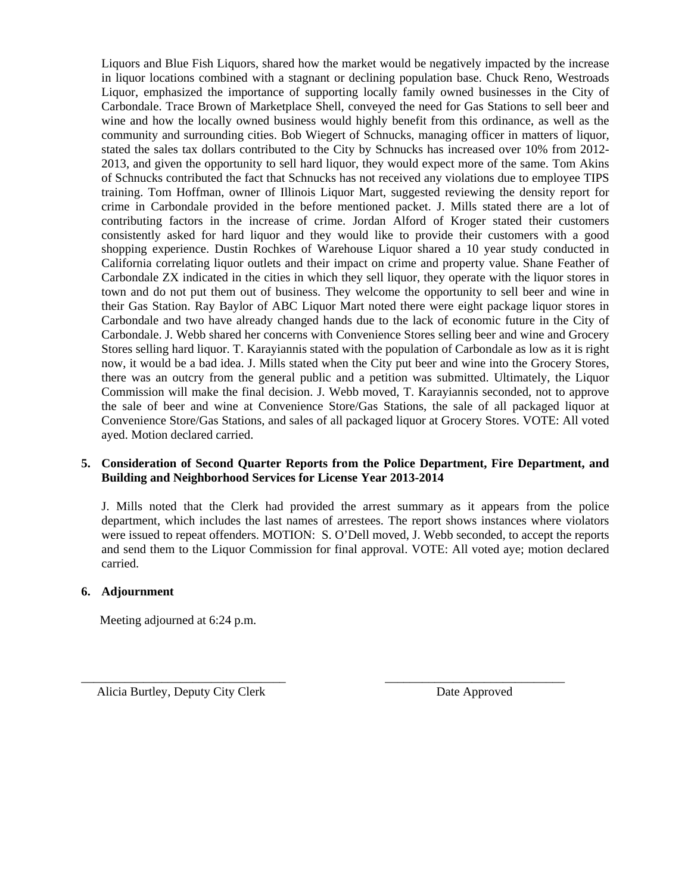Liquors and Blue Fish Liquors, shared how the market would be negatively impacted by the increase in liquor locations combined with a stagnant or declining population base. Chuck Reno, Westroads Liquor, emphasized the importance of supporting locally family owned businesses in the City of Carbondale. Trace Brown of Marketplace Shell, conveyed the need for Gas Stations to sell beer and wine and how the locally owned business would highly benefit from this ordinance, as well as the community and surrounding cities. Bob Wiegert of Schnucks, managing officer in matters of liquor, stated the sales tax dollars contributed to the City by Schnucks has increased over 10% from 2012- 2013, and given the opportunity to sell hard liquor, they would expect more of the same. Tom Akins of Schnucks contributed the fact that Schnucks has not received any violations due to employee TIPS training. Tom Hoffman, owner of Illinois Liquor Mart, suggested reviewing the density report for crime in Carbondale provided in the before mentioned packet. J. Mills stated there are a lot of contributing factors in the increase of crime. Jordan Alford of Kroger stated their customers consistently asked for hard liquor and they would like to provide their customers with a good shopping experience. Dustin Rochkes of Warehouse Liquor shared a 10 year study conducted in California correlating liquor outlets and their impact on crime and property value. Shane Feather of Carbondale ZX indicated in the cities in which they sell liquor, they operate with the liquor stores in town and do not put them out of business. They welcome the opportunity to sell beer and wine in their Gas Station. Ray Baylor of ABC Liquor Mart noted there were eight package liquor stores in Carbondale and two have already changed hands due to the lack of economic future in the City of Carbondale. J. Webb shared her concerns with Convenience Stores selling beer and wine and Grocery Stores selling hard liquor. T. Karayiannis stated with the population of Carbondale as low as it is right now, it would be a bad idea. J. Mills stated when the City put beer and wine into the Grocery Stores, there was an outcry from the general public and a petition was submitted. Ultimately, the Liquor Commission will make the final decision. J. Webb moved, T. Karayiannis seconded, not to approve the sale of beer and wine at Convenience Store/Gas Stations, the sale of all packaged liquor at Convenience Store/Gas Stations, and sales of all packaged liquor at Grocery Stores. VOTE: All voted ayed. Motion declared carried.

#### **5. Consideration of Second Quarter Reports from the Police Department, Fire Department, and Building and Neighborhood Services for License Year 2013-2014**

 J. Mills noted that the Clerk had provided the arrest summary as it appears from the police department, which includes the last names of arrestees. The report shows instances where violators were issued to repeat offenders. MOTION: S. O'Dell moved, J. Webb seconded, to accept the reports and send them to the Liquor Commission for final approval. VOTE: All voted aye; motion declared carried.

\_\_\_\_\_\_\_\_\_\_\_\_\_\_\_\_\_\_\_\_\_\_\_\_\_\_\_\_\_\_\_\_\_ \_\_\_\_\_\_\_\_\_\_\_\_\_\_\_\_\_\_\_\_\_\_\_\_\_\_\_\_\_

## **6. Adjournment**

Meeting adjourned at 6:24 p.m.

Alicia Burtley, Deputy City Clerk Date Approved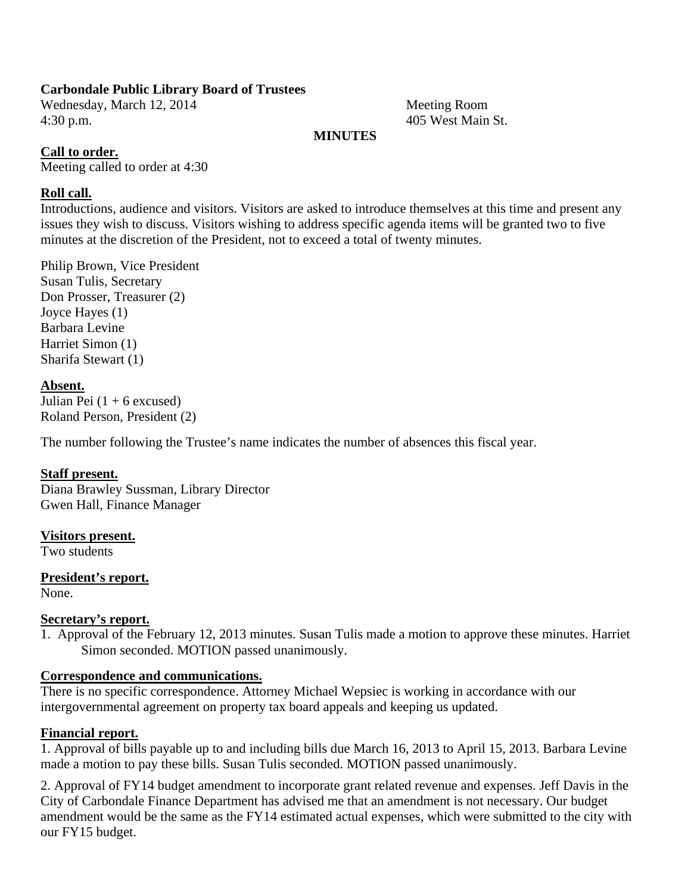## **Carbondale Public Library Board of Trustees**

Wednesday, March 12, 2014 Meeting Room 4:30 p.m. 405 West Main St.

## **MINUTES**

## **Call to order.**

Meeting called to order at 4:30

## **Roll call.**

Introductions, audience and visitors. Visitors are asked to introduce themselves at this time and present any issues they wish to discuss. Visitors wishing to address specific agenda items will be granted two to five minutes at the discretion of the President, not to exceed a total of twenty minutes.

Philip Brown, Vice President Susan Tulis, Secretary Don Prosser, Treasurer (2) Joyce Hayes (1) Barbara Levine Harriet Simon (1) Sharifa Stewart (1)

## **Absent.**

Julian Pei  $(1 + 6$  excused) Roland Person, President (2)

The number following the Trustee's name indicates the number of absences this fiscal year.

## **Staff present.**

Diana Brawley Sussman, Library Director Gwen Hall, Finance Manager

## **Visitors present.**

Two students

## **President's report.**

None.

## **Secretary's report.**

1. Approval of the February 12, 2013 minutes. Susan Tulis made a motion to approve these minutes. Harriet Simon seconded. MOTION passed unanimously.

## **Correspondence and communications.**

There is no specific correspondence. Attorney Michael Wepsiec is working in accordance with our intergovernmental agreement on property tax board appeals and keeping us updated.

## **Financial report.**

1. Approval of bills payable up to and including bills due March 16, 2013 to April 15, 2013. Barbara Levine made a motion to pay these bills. Susan Tulis seconded. MOTION passed unanimously.

2. Approval of FY14 budget amendment to incorporate grant related revenue and expenses. Jeff Davis in the City of Carbondale Finance Department has advised me that an amendment is not necessary. Our budget amendment would be the same as the FY14 estimated actual expenses, which were submitted to the city with our FY15 budget.